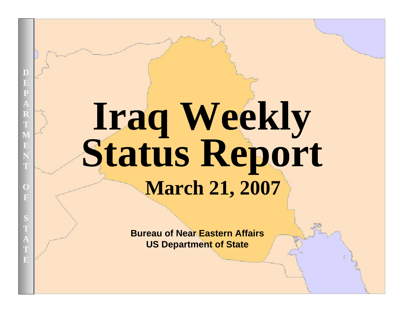# **Iraq Weekly Status Report March 21, 2007**

**Bureau of Near Eastern AffairsUS Department of State**

UNCLASSIFIED AT A 2000 FOR DEVELOPMENT OF THE CONTRACTOR CONTRACTOR CONTRACTOR

**D**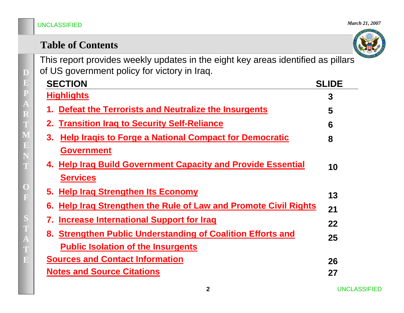*March 21, 2007*



|  | <b>Table of Contents</b> |  |
|--|--------------------------|--|
|  |                          |  |

This report provides weekly updates in the eight key areas identified as pillars of US government policy for victory in Iraq.

| <b>SECTION</b>                                                      | <b>SLIDE</b> |
|---------------------------------------------------------------------|--------------|
| <u>Highlights</u>                                                   | 3            |
| 1. Defeat the Terrorists and Neutralize the Insurgents              | 5            |
| 2. Transition Irag to Security Self-Reliance                        | 6            |
| <b>Help Iragis to Forge a National Compact for Democratic</b><br>3. | 8            |
| <b>Government</b>                                                   |              |
| 4. Help Iraq Build Government Capacity and Provide Essential        | 10           |
| <b>Services</b>                                                     |              |
| 5. Help Irag Strengthen Its Economy                                 | 13           |
| 6. Help Irag Strengthen the Rule of Law and Promote Civil Rights    | 21           |
| Increase International Support for Iraq<br>7.                       | 22           |
| 8. Strengthen Public Understanding of Coalition Efforts and         | 25           |
| <b>Public Isolation of the Insurgents</b>                           |              |
| <b>Sources and Contact Information</b>                              | 26           |
| <b>Notes and Source Citations</b>                                   | 27           |
|                                                                     |              |

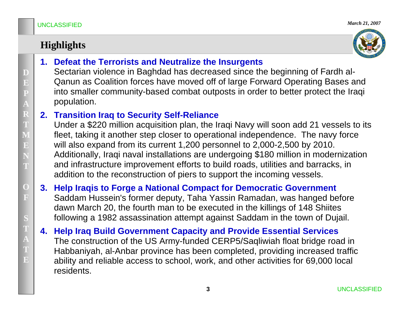# **Highlights**



**1. Defeat the Terrorists and Neutralize the Insurgents**

Sectarian violence in Baghdad has decreased since the beginning of Fardh al-Qanun as Coalition forces have moved off of large Forward Operating Bases and into smaller community-based combat outposts in order to better protect the Iraqi population.

### **2. Transition Iraq to Security Self-Reliance**

Under a \$220 million acquisition plan, the Iraqi Navy will soon add 21 vessels to its fleet, taking it another step closer to operational independence. The navy force will also expand from its current 1,200 personnel to 2,000-2,500 by 2010. Additionally, Iraqi naval installations are undergoing \$180 million in modernization and infrastructure improvement efforts to build roads, utilities and barracks, in addition to the reconstruction of piers to support the incoming vessels.

- **3. Help Iraqis to Forge a National Compact for Democratic Government** Saddam Hussein's former deputy, Taha Yassin Ramadan, was hanged before dawn March 20, the fourth man to be executed in the killings of 148 Shiites following a 1982 assassination attempt against Saddam in the town of Dujail.
- **4. Help Iraq Build Government Capacity and Provide Essential Services** The construction of the US Army-funded CERP5/Saqliwiah float bridge road in Habbaniyah, al-Anbar province has been completed, providing increased traffic ability and reliable access to school, work, and other activities for 69,000 local residents.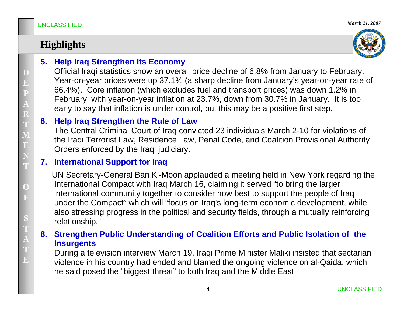# **Highlights**



### **5. Help Iraq Strengthen Its Economy**

Official Iraqi statistics show an overall price decline of 6.8% from January to February. Year-on-year prices were up 37.1% (a sharp decline from January's year-on-year rate of 66.4%). Core inflation (which excludes fuel and transport prices) was down 1.2% in February, with year-on-year inflation at 23.7%, down from 30.7% in January. It is too early to say that inflation is under control, but this may be a positive first step.

### **6. Help Iraq Strengthen the Rule of Law**

The Central Criminal Court of Iraq convicted 23 individuals March 2-10 for violations of the Iraqi Terrorist Law, Residence Law, Penal Code, and Coalition Provisional Authority Orders enforced by the Iraqi judiciary.

### **7. International Support for Iraq**

UN Secretary-General Ban Ki-Moon applauded a meeting held in New York regarding the International Compact with Iraq March 16, claiming it served "to bring the larger international community together to consider how best to support the people of Iraq under the Compact" which will "focus on Iraq's long-term economic development, while also stressing progress in the political and security fields, through a mutually reinforcing relationship."

### **8. Strengthen Public Understanding of Coalition Efforts and Public Isolation of the Insurgents**

During a television interview March 19, Iraqi Prime Minister Maliki insisted that sectarian violence in his country had ended and blamed the ongoing violence on al-Qaida, which he said posed the "biggest threat" to both Iraq and the Middle East.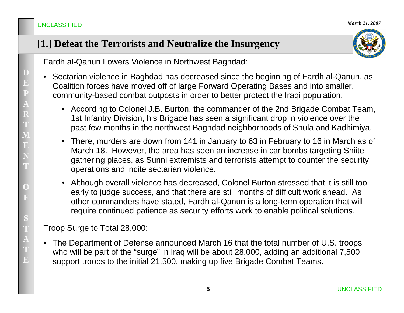# **[1.] Defeat the Terrorists and Neutralize the Insurgency**



Fardh al-Qanun Lowers Violence in Northwest Baghdad:

- • Sectarian violence in Baghdad has decreased since the beginning of Fardh al-Qanun, as Coalition forces have moved off of large Forward Operating Bases and into smaller, community-based combat outposts in order to better protect the Iraqi population.
	- According to Colonel J.B. Burton, the commander of the 2nd Brigade Combat Team, 1st Infantry Division, his Brigade has seen a significant drop in violence over the past few months in the northwest Baghdad neighborhoods of Shula and Kadhimiya.
	- $\bullet$  There, murders are down from 141 in January to 63 in February to 16 in March as of March 18. However, the area has seen an increase in car bombs targeting Shiite gathering places, as Sunni extremists and terrorists attempt to counter the security operations and incite sectarian violence.
	- Although overall violence has decreased, Colonel Burton stressed that it is still too early to judge success, and that there are still months of difficult work ahead. As other commanders have stated, Fardh al-Qanun is a long-term operation that will require continued patience as security efforts work to enable political solutions.

### Troop Surge to Total 28,000:

• The Department of Defense announced March 16 that the total number of U.S. troops who will be part of the "surge" in Iraq will be about 28,000, adding an additional 7,500 support troops to the initial 21,500, making up five Brigade Combat Teams.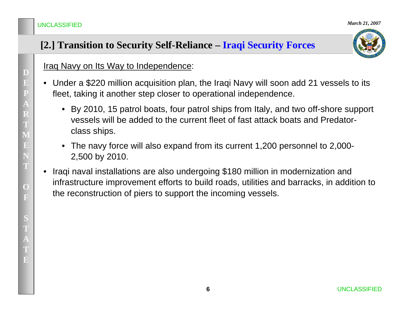# **[2.] Transition to Security Self-Reliance – Iraqi Security Forces**



Iraq Navy on Its Way to Independence:

- Under a \$220 million acquisition plan, the Iraqi Navy will soon add 21 vessels to its fleet, taking it another step closer to operational independence.
	- By 2010, 15 patrol boats, four patrol ships from Italy, and two off-shore support vessels will be added to the current fleet of fast attack boats and Predatorclass ships.
	- The navy force will also expand from its current 1,200 personnel to 2,000- 2,500 by 2010.
- • Iraqi naval installations are also undergoing \$180 million in modernization and infrastructure improvement efforts to build roads, utilities and barracks, in addition to the reconstruction of piers to support the incoming vessels.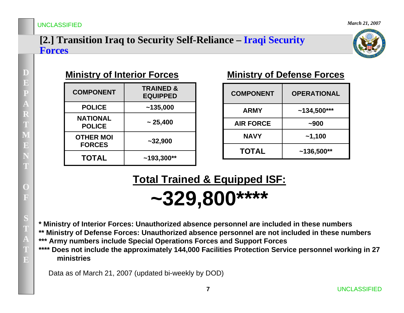### **[2.] Transition Iraq to Security Self-Reliance – Iraqi Security Forces**



| <b>COMPONENT</b>                  | <b>TRAINED &amp;</b><br><b>EQUIPPED</b> |
|-----------------------------------|-----------------------------------------|
| <b>POLICE</b>                     | ~135,000                                |
| <b>NATIONAL</b><br><b>POLICE</b>  | $\sim 25,400$                           |
| <b>OTHER MOI</b><br><b>FORCES</b> | $~1$ - 32,900                           |
| <b>TOTAL</b>                      | $~193,300**$                            |

### **Ministry of Interior Forces Ministry of Defense Forces**

| <b>COMPONENT</b> | <b>OPERATIONAL</b> |
|------------------|--------------------|
| <b>ARMY</b>      | $~134,500***$      |
| <b>AIR FORCE</b> | $-900$             |
| <b>NAVY</b>      | $-1,100$           |
| <b>TOTAL</b>     | $~136,500**$       |

# **Total Trained & Equipped ISF:**

**~329,800\*\*\*\***

**\* Ministry of Interior Forces: Unauthorized absence personnel are included in these numbers \*\* Ministry of Defense Forces: Unauthorized absence personnel are not included in these numbers**

**\*\*\* Army numbers include Special Operations Forces and Support Forces**

**\*\*\*\* Does not include the approximately 144,000 Facilities Protection Service personnel working in 27 ministries**

Data as of March 21, 2007 (updated bi-weekly by DOD)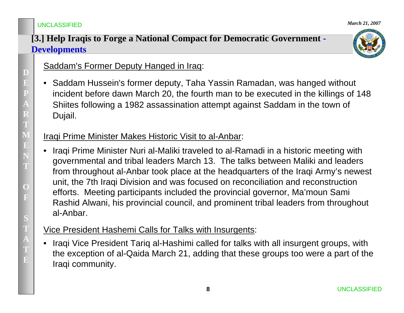### **[3.] Help Iraqis to Forge a National Compact for Democratic Government - Developments**



### Saddam's Former Deputy Hanged in Iraq:

• Saddam Hussein's former deputy, Taha Yassin Ramadan, was hanged without incident before dawn March 20, the fourth man to be executed in the killings of 148 Shiites following a 1982 assassination attempt against Saddam in the town of Dujail.

### Iraqi Prime Minister Makes Historic Visit to al-Anbar:

• Iraqi Prime Minister Nuri al-Maliki traveled to al-Ramadi in a historic meeting with governmental and tribal leaders March 13. The talks between Maliki and leaders from throughout al-Anbar took place at the headquarters of the Iraqi Army's newest unit, the 7th Iraqi Division and was focused on reconciliation and reconstruction efforts. Meeting participants included the provincial governor, Ma'moun Sami Rashid Alwani, his provincial council, and prominent tribal leaders from throughout al-Anbar.

### Vice President Hashemi Calls for Talks with Insurgents:

• Iraqi Vice President Tariq al-Hashimi called for talks with all insurgent groups, with the exception of al-Qaida March 21, adding that these groups too were a part of the Iraqi community.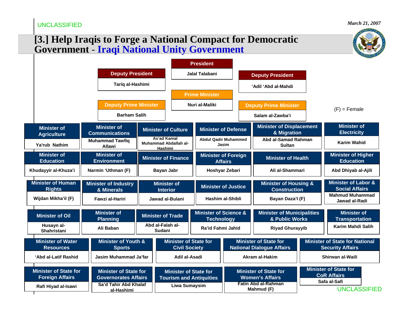### **[3.] Help Iraqis to Forge a National Compact for Democratic Government** - **Iraqi National Unity Government**

|                                                        |                                                             |  |                                                 | <b>President</b>                                               |                |                                                     |                                                         |                                             |                                                                    |                                                                                                  |  |  |                                                                  |  |
|--------------------------------------------------------|-------------------------------------------------------------|--|-------------------------------------------------|----------------------------------------------------------------|----------------|-----------------------------------------------------|---------------------------------------------------------|---------------------------------------------|--------------------------------------------------------------------|--------------------------------------------------------------------------------------------------|--|--|------------------------------------------------------------------|--|
|                                                        | <b>Deputy President</b>                                     |  |                                                 | Jalal Talabani                                                 |                |                                                     | <b>Deputy President</b>                                 |                                             |                                                                    |                                                                                                  |  |  |                                                                  |  |
|                                                        | Tariq al-Hashimi                                            |  |                                                 |                                                                |                | 'Adil 'Abd al-Mahdi                                 |                                                         |                                             |                                                                    |                                                                                                  |  |  |                                                                  |  |
|                                                        |                                                             |  |                                                 | <b>Prime Minister</b>                                          |                |                                                     |                                                         |                                             |                                                                    |                                                                                                  |  |  |                                                                  |  |
|                                                        | <b>Deputy Prime Minister</b>                                |  |                                                 | Nuri al-Maliki                                                 |                | <b>Deputy Prime Minister</b>                        |                                                         |                                             | $(F)$ = Female                                                     |                                                                                                  |  |  |                                                                  |  |
|                                                        | <b>Barham Salih</b>                                         |  |                                                 |                                                                |                |                                                     | Salam al-Zawba'i                                        |                                             |                                                                    |                                                                                                  |  |  |                                                                  |  |
| <b>Minister of</b><br><b>Agriculture</b>               | <b>Minister of</b><br><b>Communications</b>                 |  | <b>Minister of Culture</b>                      | <b>Minister of Defense</b>                                     |                |                                                     | <b>Minister of Displacement</b><br>& Migration          |                                             | <b>Minister of</b><br><b>Electricity</b>                           |                                                                                                  |  |  |                                                                  |  |
| Ya'rub Nathim                                          | <b>Muhammad Tawfig</b><br><b>Allawi</b>                     |  | As'ad Kamal<br>Muhammad Abdallah al-<br>Hashimi | <b>Abdul Qadir Muhammed</b><br>Jasim                           |                |                                                     | Abd al-Samad Rahman<br><b>Sultan</b>                    |                                             | <b>Karim Wahid</b>                                                 |                                                                                                  |  |  |                                                                  |  |
| <b>Minister of</b><br><b>Education</b>                 | <b>Minister of</b><br><b>Environment</b>                    |  | <b>Minister of Finance</b>                      | <b>Minister of Foreign</b><br><b>Affairs</b>                   |                |                                                     | <b>Minister of Health</b>                               |                                             | <b>Minister of Higher</b><br><b>Education</b>                      |                                                                                                  |  |  |                                                                  |  |
| Khudayyir al-Khuza'i                                   | Narmin 'Uthman (F)                                          |  | <b>Bayan Jabr</b>                               |                                                                | Hoshyar Zebari |                                                     | Ali al-Shammari                                         |                                             | Abd Dhiyab al-Ajili                                                |                                                                                                  |  |  |                                                                  |  |
| <b>Minister of Human</b><br><b>Rights</b>              | <b>Minister of Industry</b><br>& Minerals                   |  | <b>Minister of</b><br><b>Interior</b>           | <b>Minister of Justice</b>                                     |                |                                                     | <b>Minister of Housing &amp;</b><br><b>Construction</b> |                                             | <b>Minister of Labor &amp;</b><br><b>Social Affairs</b>            |                                                                                                  |  |  |                                                                  |  |
| Wijdan Mikha'il (F)                                    | Fawzi al-Hariri                                             |  | Jawad al-Bulani                                 | Hashim al-Shibli                                               |                |                                                     | Bayan Daza'l (F)                                        |                                             | <b>Mahmud Muhammad</b><br>Jawad al-Radi                            |                                                                                                  |  |  |                                                                  |  |
| <b>Minister of Oil</b>                                 | <b>Minister of</b><br><b>Planning</b>                       |  | <b>Minister of Trade</b>                        | <b>Minister of Science &amp;</b><br><b>Technology</b>          |                | <b>Minister of Municipalities</b><br>& Public Works |                                                         | <b>Minister of</b><br><b>Transportation</b> |                                                                    |                                                                                                  |  |  |                                                                  |  |
| Husayn al-<br>Shahristani                              | Ali Baban                                                   |  | Abd al-Falah al-<br>Sudani                      | Ra'id Fahmi Jahid                                              |                |                                                     | <b>Riyad Ghurayyib</b>                                  |                                             | Karim Mahdi Salih                                                  |                                                                                                  |  |  |                                                                  |  |
| <b>Minister of Water</b><br><b>Resources</b>           | <b>Minister of Youth &amp;</b><br><b>Sports</b>             |  |                                                 | <b>Civil Society</b>                                           |                |                                                     |                                                         |                                             |                                                                    | <b>Minister of State for</b><br><b>Minister of State for</b><br><b>National Dialogue Affairs</b> |  |  | <b>Minister of State for National</b><br><b>Security Affairs</b> |  |
| 'Abd al-Latif Rashid                                   | Jasim Muhammad Ja'far                                       |  | Adil al-Asadi                                   |                                                                |                |                                                     | <b>Akram al-Hakim</b>                                   |                                             | Shirwan al-Waili                                                   |                                                                                                  |  |  |                                                                  |  |
| <b>Minister of State for</b><br><b>Foreign Affairs</b> | <b>Minister of State for</b><br><b>Governorates Affairs</b> |  |                                                 | <b>Minister of State for</b><br><b>Tourism and Antiquities</b> |                |                                                     | <b>Minister of State for</b><br><b>Women's Affairs</b>  |                                             | <b>Minister of State for</b><br><b>CoR Affairs</b><br>Safa al-Safi |                                                                                                  |  |  |                                                                  |  |
| Rafi Hiyad al-Isawi                                    | Sa'd Tahir Abd Khalaf<br>al-Hashimi                         |  |                                                 | <b>Liwa Sumaysim</b>                                           |                |                                                     | <b>Fatin Abd al-Rahman</b><br>Mahmud (F)                |                                             | <b>UNCLASSIFIED</b>                                                |                                                                                                  |  |  |                                                                  |  |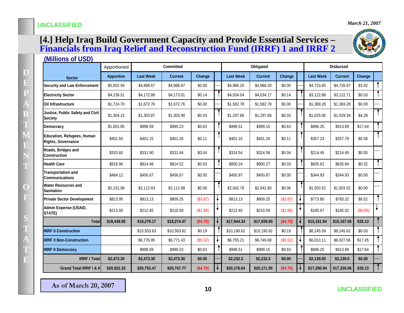#### **[4.] Help Iraq Build Government Capacity and Provide Essential Services – Financials from Iraq Relief and Reconstruction Fund (IRRF) 1 and IRRF 2**



| <u>(Millions of USD)</u>                                |                                 |                  |                |          |  |                  |                |          |  |                  |                |          |                      |
|---------------------------------------------------------|---------------------------------|------------------|----------------|----------|--|------------------|----------------|----------|--|------------------|----------------|----------|----------------------|
|                                                         | <b>Committed</b><br>Apportioned |                  |                |          |  | Obligated        |                |          |  | <b>Disbursed</b> |                |          |                      |
| <b>Sector</b>                                           | <b>Apportion</b>                | <b>Last Week</b> | <b>Current</b> | Change   |  | <b>Last Week</b> | <b>Current</b> | Change   |  | <b>Last Week</b> | <b>Current</b> | Change   |                      |
| <b>Security and Law Enforcement</b>                     | \$5,002.59                      | \$4,988.67       | \$4,988.67     | \$0.00   |  | \$4,986.20       | \$4,986.20     | \$0.00   |  | \$4,723.45       | \$4,726.87     | \$3.42   |                      |
| <b>Electricity Sector</b>                               | \$4,239.51                      | \$4,172.88       | \$4,173.01     | \$0.14   |  | \$4,034.04       | \$4,034.17     | \$0.14   |  | \$3,122.68       | \$3,122.71     | \$0.03   |                      |
| Oil Infrastructure                                      | \$1,724.70                      | \$1,672.76       | \$1,672.76     | \$0.00   |  | \$1,582.78       | \$1,582.78     | \$0.00   |  | \$1,369.28       | \$1,369.28     | \$0.00   |                      |
| Justice, Public Safety and Civil<br><b>Society</b>      | \$1,304.15                      | \$1,303.87       | \$1,303.90     | \$0.03   |  | \$1,297.66       | \$1,297.69     | \$0.03   |  | \$1,025.06       | \$1,029.34     | \$4.28   | $\ddot{\phantom{1}}$ |
| Democracy                                               | \$1,001.85                      | \$998.59         | \$999.23       | \$0.63   |  | \$998.51         | \$999.15       | \$0.63   |  | \$896.25         | \$913.89       | \$17.64  |                      |
| Education, Refugees, Human<br><b>Rights, Governance</b> | \$401.50                        | \$401.15         | \$401.26       | \$0.11   |  | \$401.15         | \$401.26       | \$0.11   |  | \$357.23         | \$357.79       | \$0.56   |                      |
| Roads, Bridges and<br><b>Construction</b>               | \$333.60                        | \$331.90         | \$331.94       | \$0.04   |  | \$324.54         | \$324.58       | \$0.04   |  | \$214.45         | \$214.45       | \$0.00   |                      |
| <b>Health Care</b>                                      | \$818.90                        | \$814.48         | \$814.52       | \$0.03   |  | \$800.24         | \$800.27       | \$0.03   |  | \$635.62         | \$635.94       | \$0.32   | $\ddot{\bullet}$     |
| <b>Transportation and</b><br><b>Communications</b>      | \$464.12                        | \$456.67         | \$456.67       | \$0.00   |  | \$450.87         | \$450.87       | \$0.00   |  | \$344.93         | \$344.93       | \$0.00   |                      |
| Water Resources and<br><b>Sanitation</b>                | \$2,131.08                      | \$2,112.63       | \$2,112.68     | \$0.06   |  | \$2,042.78       | \$2,042.83     | \$0.06   |  | \$1,503.52       | \$1,503.52     | \$0.00   |                      |
| <b>Private Sector Development</b>                       | \$813.95                        | \$813.13         | \$809.25       | (\$3.87) |  | \$813.13         | \$809.25       | (\$3.87) |  | \$773.80         | \$783.32       | \$9.52   | $\ddot{\bullet}$     |
| Admin Expense (USAID,<br>STATE)                         | \$213.00                        | \$212.45         | \$210.59       | (\$1.86) |  | \$212.45         | \$210.59       | (\$1.86) |  | \$185.67         | \$185.02       | (\$0.65) | ۰                    |
| <b>Total</b>                                            | \$18,448.95                     | \$18,279.17      | \$18,274.47    | (\$4.70) |  | \$17,944.34      | \$17,939.65    | (\$4.70) |  | \$15,151.94      | \$15,187.06    | \$35.13  |                      |
| <b>IRRF II Construction</b>                             |                                 | \$10,503.63      | \$10,503.82    | \$0.19   |  | \$10,190.62      | \$10,190.82    | \$0.19   |  | \$8,245.59       | \$8,245.62     | \$0.03   |                      |
| <b>IRRF II Non-Construction</b>                         |                                 | \$6,776.95       | \$6,771.43     | (\$5.52) |  | \$6,755.21       | \$6,749.68     | (\$5.52) |  | \$6,010.11       | \$6,027.56     | \$17.45  |                      |
| <b>IRRF II Democracy</b>                                |                                 | \$998.59         | \$999.23       | \$0.63   |  | \$998.51         | \$999.15       | \$0.63   |  | \$896.25         | \$913.89       | \$17.64  |                      |
| <b>IRRF I Total</b>                                     | \$2,473.30                      | \$2,473.30       | \$2,473.30     | \$0.00   |  | \$2,232.3        | \$2,232.3      | \$0.00   |  | \$2,139.00       | \$2,139.0      | \$0.00   |                      |
| Grand Total IRRF I & II                                 | \$20,922.25                     | \$20,752.47      | \$20,747.77    | (\$4.70) |  | \$20,176.64      | \$20,171.95    | (\$4.70) |  | \$17,290.94      | \$17,326.06    | \$35.13  |                      |

**As of March 20, 2007 As of March 20, 2007**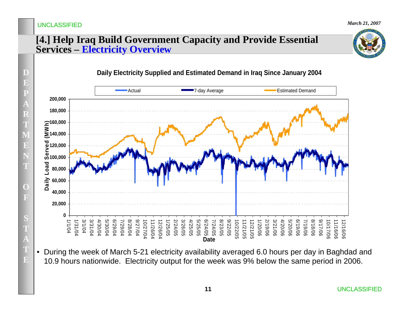$\mathbf{E}$ 

### **[4.] Help Iraq Build Government Capacity and Provide Essential Services – Electricity Overview**





 $\bullet$  During the week of March 5-21 electricity availability averaged 6.0 hours per day in Baghdad and 10.9 hours nationwide. Electricity output for the week was 9% below the same period in 2006.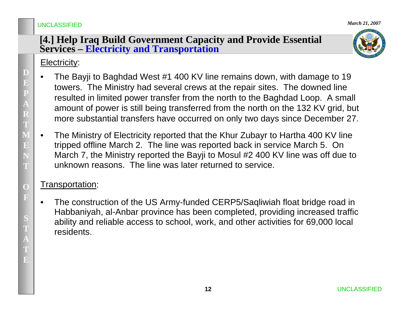### **[4.] Help Iraq Build Government Capacity and Provide Essential Services – Electricity and Transportation**



### Electricity:

- • The Bayji to Baghdad West #1 400 KV line remains down, with damage to 19 towers. The Ministry had several crews at the repair sites. The downed line resulted in limited power transfer from the north to the Baghdad Loop. A small amount of power is still being transferred from the north on the 132 KV grid, but more substantial transfers have occurred on only two days since December 27.
- • The Ministry of Electricity reported that the Khur Zubayr to Hartha 400 KV line tripped offline March 2. The line was reported back in service March 5. On March 7, the Ministry reported the Bayji to Mosul #2 400 KV line was off due to unknown reasons. The line was later returned to service.

### Transportation:

• The construction of the US Army-funded CERP5/Saqliwiah float bridge road in Habbaniyah, al-Anbar province has been completed, providing increased traffic ability and reliable access to school, work, and other activities for 69,000 local residents.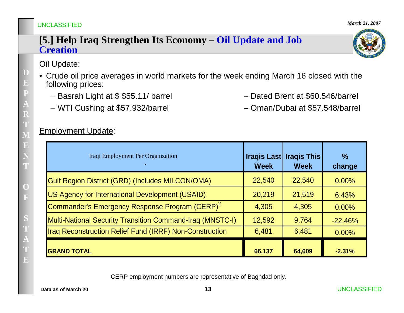### **[5.] Help Iraq Strengthen Its Economy – Oil Update and Job Creation**

### Oil Update:

- Crude oil price averages in world markets for the week ending March 16 closed with the following prices:
	- Basrah Light at \$ \$55.11/ barrel Dated Brent at \$60.546/barrel
	- WTI Cushing at \$57.932/barrel Oman/Dubai at \$57.548/barrel

#### Employment Update:

| Iraqi Employment Per Organization                                | <b>Week</b> | <b>Iraqis Last   Iraqis This</b><br><b>Week</b> | $\frac{0}{0}$<br>change |
|------------------------------------------------------------------|-------------|-------------------------------------------------|-------------------------|
| Gulf Region District (GRD) (Includes MILCON/OMA)                 | 22,540      | 22,540                                          | $0.00\%$                |
| US Agency for International Development (USAID)                  | 20,219      | 21,519                                          | 6.43%                   |
| Commander's Emergency Response Program (CERP) <sup>2</sup>       | 4,305       | 4,305                                           | 0.00%                   |
| <b>Multi-National Security Transition Command-Iraq (MNSTC-I)</b> | 12,592      | 9,764                                           | $-22.46%$               |
| Iraq Reconstruction Relief Fund (IRRF) Non-Construction          | 6,481       | 6,481                                           | $0.00\%$                |
| <b>GRAND TOTAL</b>                                               | 66,137      | 64,609                                          | $-2.31%$                |

CERP employment numbers are representative of Baghdad only.

**Data as of March 20**

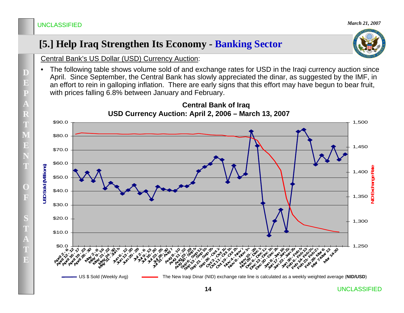# **[5.] Help Iraq Strengthen Its Economy - Banking Sector**



Central Bank's US Dollar (USD) Currency Auction:

• The following table shows volume sold of and exchange rates for USD in the Iraqi currency auction since April. Since September, the Central Bank has slowly appreciated the dinar, as suggested by the IMF, in an effort to rein in galloping inflation. There are early signs that this effort may have begun to bear fruit, with prices falling 6.8% between January and February.

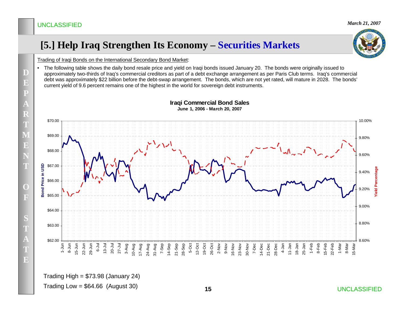# **[5.] Help Iraq Strengthen Its Economy – Securities Markets**



Trading of Iraqi Bonds on the International Secondary Bond Market:

• The following table shows the daily bond resale price and yield on Iraqi bonds issued January 20. The bonds were originally issued to approximately two-thirds of Iraq's commercial creditors as part of a debt exchange arrangement as per Paris Club terms. Iraq's commercial debt was approximately \$22 billion before the debt-swap arrangement. The bonds, which are not yet rated, will mature in 2028. The bonds' current yield of 9.6 percent remains one of the highest in the world for sovereign debt instruments.



#### **Iraqi Commercial Bond Sales June 1, 2006 - March 20, 2007**

Trading High  $= $73.98$  (January 24)

Trading Low =  $$64.66$  (August 30)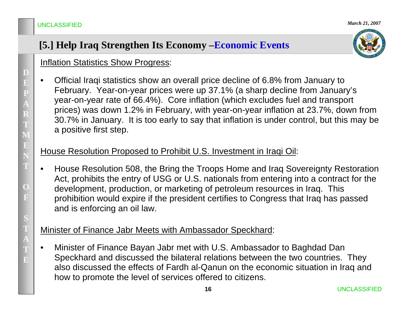# **[5.] Help Iraq Strengthen Its Economy –Economic Events**



### Inflation Statistics Show Progress:

• Official Iraqi statistics show an overall price decline of 6.8% from January to February. Year-on-year prices were up 37.1% (a sharp decline from January's year-on-year rate of 66.4%). Core inflation (which excludes fuel and transport prices) was down 1.2% in February, with year-on-year inflation at 23.7%, down from 30.7% in January. It is too early to say that inflation is under control, but this may be a positive first step.

### House Resolution Proposed to Prohibit U.S. Investment in Iraqi Oil:

• House Resolution 508, the Bring the Troops Home and Iraq Sovereignty Restoration Act, prohibits the entry of USG or U.S. nationals from entering into a contract for the development, production, or marketing of petroleum resources in Iraq. This prohibition would expire if the president certifies to Congress that Iraq has passed and is enforcing an oil law.

### Minister of Finance Jabr Meets with Ambassador Speckhard:

• Minister of Finance Bayan Jabr met with U.S. Ambassador to Baghdad Dan Speckhard and discussed the bilateral relations between the two countries. They also discussed the effects of Fardh al-Qanun on the economic situation in Iraq and how to promote the level of services offered to citizens.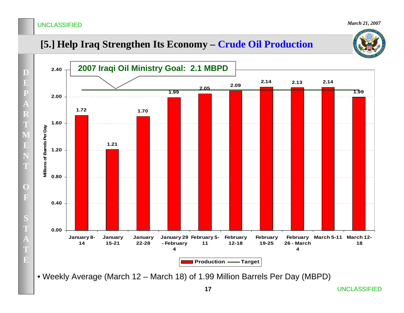# **[5.] Help Iraq Strengthen Its Economy – Crude Oil Production**



• Weekly Average (March 12 – March 18) of 1.99 Million Barrels Per Day (MBPD)

UNCLASSIFIED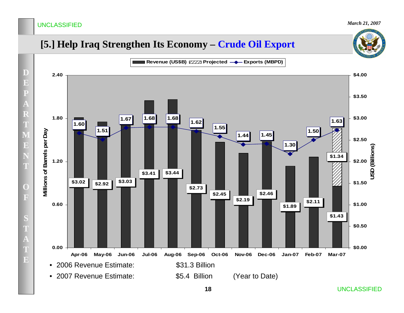# **[5.] Help Iraq Strengthen Its Economy – Crude Oil Export**

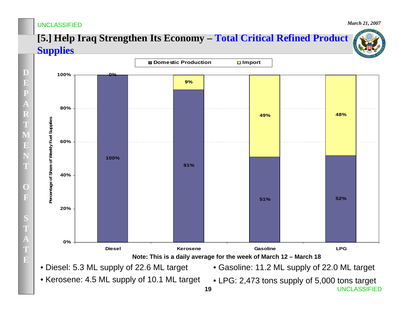*March 21, 2007*

# **[5.] Help Iraq Strengthen Its Economy – Total Critical Refined Product Supplies**



- Diesel: 5.3 ML supply of 22.6 ML target
- Gasoline: 11.2 ML supply of 22.0 ML target

• Kerosene: 4.5 ML supply of 10.1 ML target

**19** UNCLASSIFIED• LPG: 2,473 tons supply of 5,000 tons target

**D**

**E**

**P**

**A**

**R**

**T**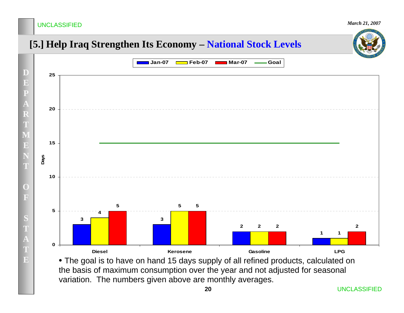*March 21, 2007*

# **[5.] Help Iraq Strengthen Its Economy – National Stock Levels**



• The goal is to have on hand 15 days supply of all refined products, calculated on the basis of maximum consumption over the year and not adjusted for seasonal variation. The numbers given above are monthly averages.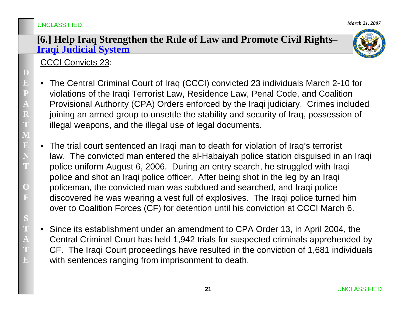### **[6.] Help Iraq Strengthen the Rule of Law and Promote Civil Rights– Iraqi Judicial System**



# CCCI Convicts 23:

- $\bullet$  The Central Criminal Court of Iraq (CCCI) convicted 23 individuals March 2-10 for violations of the Iraqi Terrorist Law, Residence Law, Penal Code, and Coalition Provisional Authority (CPA) Orders enforced by the Iraqi judiciary. Crimes included joining an armed group to unsettle the stability and security of Iraq, possession of illegal weapons, and the illegal use of legal documents.
- $\bullet$  The trial court sentenced an Iraqi man to death for violation of Iraq's terrorist law. The convicted man entered the al-Habaiyah police station disguised in an Iraqi police uniform August 6, 2006. During an entry search, he struggled with Iraqi police and shot an Iraqi police officer. After being shot in the leg by an Iraqi policeman, the convicted man was subdued and searched, and Iraqi police discovered he was wearing a vest full of explosives. The Iraqi police turned him over to Coalition Forces (CF) for detention until his conviction at CCCI March 6.
- $\bullet$  Since its establishment under an amendment to CPA Order 13, in April 2004, the Central Criminal Court has held 1,942 trials for suspected criminals apprehended by CF. The Iraqi Court proceedings have resulted in the conviction of 1,681 individuals with sentences ranging from imprisonment to death.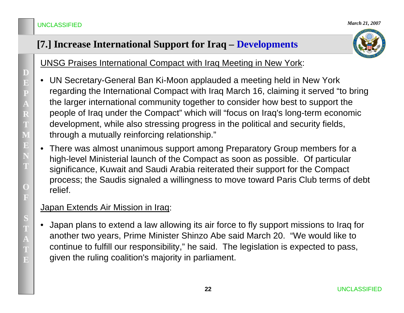# **[7.] Increase International Support for Iraq – Developments**



UNSG Praises International Compact with Iraq Meeting in New York:

- $\bullet$  UN Secretary-General Ban Ki-Moon applauded a meeting held in New York regarding the International Compact with Iraq March 16, claiming it served "to bring the larger international community together to consider how best to support the people of Iraq under the Compact" which will "focus on Iraq's long-term economic development, while also stressing progress in the political and security fields, through a mutually reinforcing relationship."
- $\bullet$  There was almost unanimous support among Preparatory Group members for a high-level Ministerial launch of the Compact as soon as possible. Of particular significance, Kuwait and Saudi Arabia reiterated their support for the Compact process; the Saudis signaled a willingness to move toward Paris Club terms of debt relief.

### Japan Extends Air Mission in Iraq:

 $\bullet$  Japan plans to extend a law allowing its air force to fly support missions to Iraq for another two years, Prime Minister Shinzo Abe said March 20. "We would like to continue to fulfill our responsibility," he said. The legislation is expected to pass, given the ruling coalition's majority in parliament.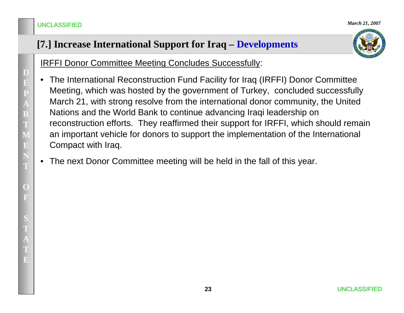# **[7.] Increase International Support for Iraq – Developments**



IRFFI Donor Committee Meeting Concludes Successfully:

- $\bullet$  The International Reconstruction Fund Facility for Iraq (IRFFI) Donor Committee Meeting, which was hosted by the government of Turkey, concluded successfully March 21, with strong resolve from the international donor community, the United Nations and the World Bank to continue advancing Iraqi leadership on reconstruction efforts. They reaffirmed their support for IRFFI, which should remain an important vehicle for donors to support the implementation of the International Compact with Iraq.
- •The next Donor Committee meeting will be held in the fall of this year.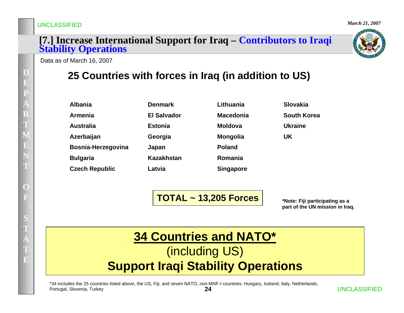*March 21, 2007*

# **[7.] Increase International Support for Iraq – Contributors to Iraqi Stability Operations**



Data as of March 16, 2007

# **25 Countries with forces in Iraq (in addition to US)**

| <b>Albania</b>        |
|-----------------------|
| <b>Armenia</b>        |
| <b>Australia</b>      |
| Azerbaijan            |
| Bosnia-Herzegovina    |
| <b>Bulgaria</b>       |
| <b>Czech Republic</b> |

| репшагк     |
|-------------|
| El Salvador |
| Estonia     |
| Georgia     |
| Japan       |
| Kazakhstan  |
| Latvia      |

**Denmark** 

| Lithuania        | Slovakia           |
|------------------|--------------------|
| <b>Macedonia</b> | <b>South Korea</b> |
| Moldova          | Ukraine            |
| <b>Mongolia</b>  | UK                 |
| <b>Poland</b>    |                    |
| Romania          |                    |
| <b>Singapore</b> |                    |

**TOTAL ~ 13,205 Forces**

**\*Note: Fiji participating as a part of the UN mission in Iraq.** 

# **34 Countries and NATO\*** (including US) **Support Iraqi Stability Operations**

**24**\*34 includes the 25 countries listed above, the US, Fiji, and seven NATO, non-MNF-I countries: Hungary, Iceland, Italy, Netherlands, Portugal, Slovenia, Turkey

**D**

**E**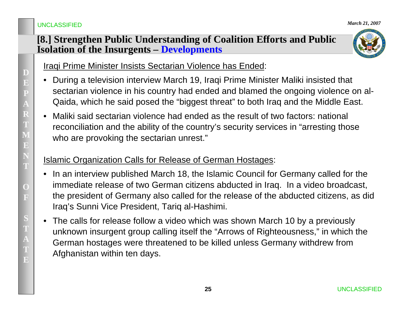### **[8.] Strengthen Public Understanding of Coalition Efforts and Public Isolation of the Insurgents – Developments**



Iraqi Prime Minister Insists Sectarian Violence has Ended:

- • During a television interview March 19, Iraqi Prime Minister Maliki insisted that sectarian violence in his country had ended and blamed the ongoing violence on al-Qaida, which he said posed the "biggest threat" to both Iraq and the Middle East.
- • Maliki said sectarian violence had ended as the result of two factors: national reconciliation and the ability of the country's security services in "arresting those who are provoking the sectarian unrest."

### Islamic Organization Calls for Release of German Hostages:

- In an interview published March 18, the Islamic Council for Germany called for the immediate release of two German citizens abducted in Iraq. In a video broadcast, the president of Germany also called for the release of the abducted citizens, as did Iraq's Sunni Vice President, Tariq al-Hashimi.
- The calls for release follow a video which was shown March 10 by a previously unknown insurgent group calling itself the "Arrows of Righteousness," in which the German hostages were threatened to be killed unless Germany withdrew from Afghanistan within ten days.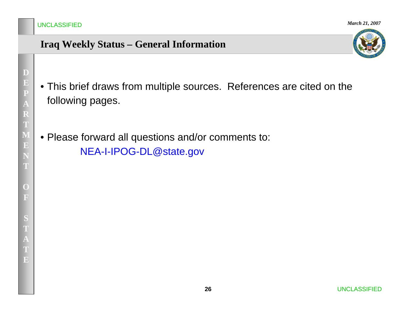# **Iraq Weekly Status – General Information**



- This brief draws from multiple sources. References are cited on the following pages.
- Please forward all questions and/or comments to: NEA-I-IPOG-DL@state.gov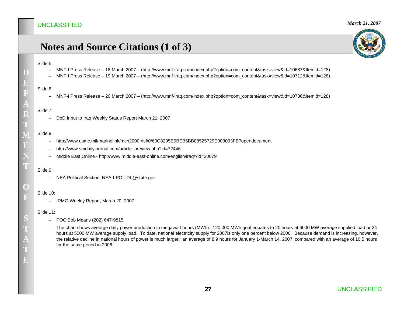# **Notes and Source Citations (1 of 3)**

#### Slide 5:

**D**

**E**

**P**

- –MNF-I Press Release – 18 March 2007 – (http://www.mnf-iraq.com/index.php?option=com\_content&task=view&id=10687&Itemid=128)
- –MNF-I Press Release – 19 March 2007 – (http://www.mnf-iraq.com/index.php?option=com\_content&task=view&id=10712&Itemid=128)

#### Slide 6:

– MNF-I Press Release – 20 March 2007 – (http://www.mnf-iraq.com/index.php?option=com\_content&task=view&id=10736&Itemid=128)

#### Slide 7:

–DoD Input to Iraq Weekly Status Report March 21, 2007

#### Slide 8:

- http://www.usmc.mil/marinelink/mcn2000.nsf/0/60C8295E6BEB6BB88525729E003093FB?opendocument
- –http://www.smdailyjournal.com/article\_preview.php?id=72446
- –Middle East Online - http://www.middle-east-online.com/english/iraq/?id=20079

#### Slide 9:

– NEA Political Section, NEA-I-POL-DL@state.gov

#### Slide 10:

– IRMO Weekly Report, March 20, 2007

#### Slide 11:

- POC Bob Means (202) 647-9815
- The chart shows average daily power production in megawatt hours (MWh). 120,000 MWh goal equates to 20 hours at 6000 MW average supplied load or 24 hours at 5000 MW average supply load. To date, national electricity supply for 2007is only one percent below 2006. Because demand is increasing, however, the relative decline in national hours of power is much larger: an average of 8.9 hours for January 1-March 14, 2007, compared with an average of 10.5 hours for the same period in 2006.



**A**

**TE**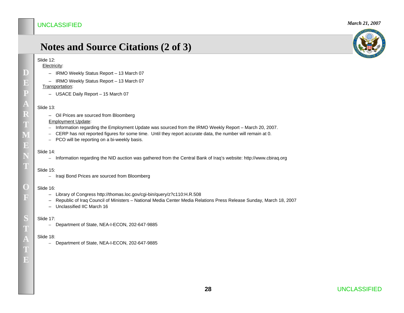### **Notes and Source Citations (2 of 3)**

#### Slide 12:

#### Electricity:

- IRMO Weekly Status Report 13 March 07
- IRMO Weekly Status Report 13 March 07 Transportation:
	- USACE Daily Report 15 March 07

#### Slide 13:

– Oil Prices are sourced from Bloomberg

#### Employment Update:

- Information regarding the Employment Update was sourced from the IRMO Weekly Report March 20, 2007.
- CERP has not reported figures for some time. Until they report accurate data, the number will remain at 0.
- PCO will be reporting on a bi-weekly basis.

#### Slide 14:

– Information regarding the NID auction was gathered from the Central Bank of Iraq's website: http://www.cbiraq.org

#### Slide 15:

– Iraqi Bond Prices are sourced from Bloomberg

#### Slide 16:

- Library of Congress http://thomas.loc.gov/cgi-bin/query/z?c110:H.R.508
- Republic of Iraq Council of Ministers National Media Center Media Relations Press Release Sunday, March 18, 2007
- Unclassified IIC March 16

#### Slide 17:

– Department of State, NEA-I-ECON, 202-647-9885

#### Slide 18:

– Department of State, NEA-I-ECON, 202-647-9885



**D**